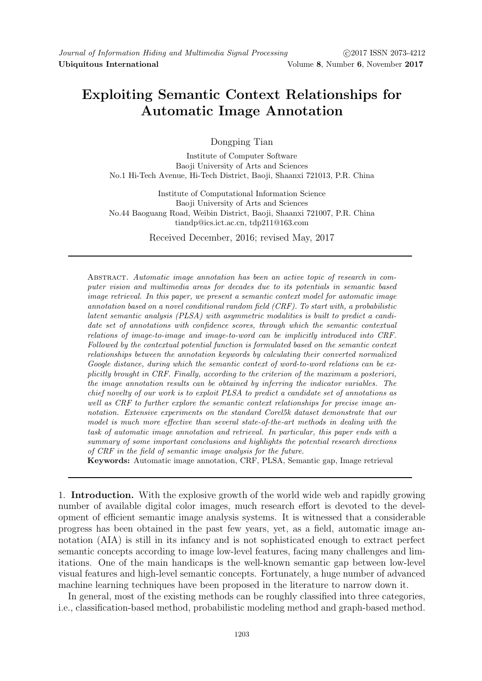# Exploiting Semantic Context Relationships for Automatic Image Annotation

Dongping Tian

Institute of Computer Software Baoji University of Arts and Sciences No.1 Hi-Tech Avenue, Hi-Tech District, Baoji, Shaanxi 721013, P.R. China

Institute of Computational Information Science Baoji University of Arts and Sciences No.44 Baoguang Road, Weibin District, Baoji, Shaanxi 721007, P.R. China tiandp@ics.ict.ac.cn, tdp211@163.com

Received December, 2016; revised May, 2017

Abstract. Automatic image annotation has been an active topic of research in computer vision and multimedia areas for decades due to its potentials in semantic based image retrieval. In this paper, we present a semantic context model for automatic image annotation based on a novel conditional random field (CRF). To start with, a probabilistic latent semantic analysis (PLSA) with asymmetric modalities is built to predict a candidate set of annotations with confidence scores, through which the semantic contextual relations of image-to-image and image-to-word can be implicitly introduced into CRF. Followed by the contextual potential function is formulated based on the semantic context relationships between the annotation keywords by calculating their converted normalized Google distance, during which the semantic context of word-to-word relations can be explicitly brought in CRF. Finally, according to the criterion of the maximum a posteriori, the image annotation results can be obtained by inferring the indicator variables. The chief novelty of our work is to exploit PLSA to predict a candidate set of annotations as well as CRF to further explore the semantic context relationships for precise image annotation. Extensive experiments on the standard Corel5k dataset demonstrate that our model is much more effective than several state-of-the-art methods in dealing with the task of automatic image annotation and retrieval. In particular, this paper ends with a summary of some important conclusions and highlights the potential research directions of CRF in the field of semantic image analysis for the future.

Keywords: Automatic image annotation, CRF, PLSA, Semantic gap, Image retrieval

1. Introduction. With the explosive growth of the world wide web and rapidly growing number of available digital color images, much research effort is devoted to the development of efficient semantic image analysis systems. It is witnessed that a considerable progress has been obtained in the past few years, yet, as a field, automatic image annotation (AIA) is still in its infancy and is not sophisticated enough to extract perfect semantic concepts according to image low-level features, facing many challenges and limitations. One of the main handicaps is the well-known semantic gap between low-level visual features and high-level semantic concepts. Fortunately, a huge number of advanced machine learning techniques have been proposed in the literature to narrow down it.

In general, most of the existing methods can be roughly classified into three categories, i.e., classification-based method, probabilistic modeling method and graph-based method.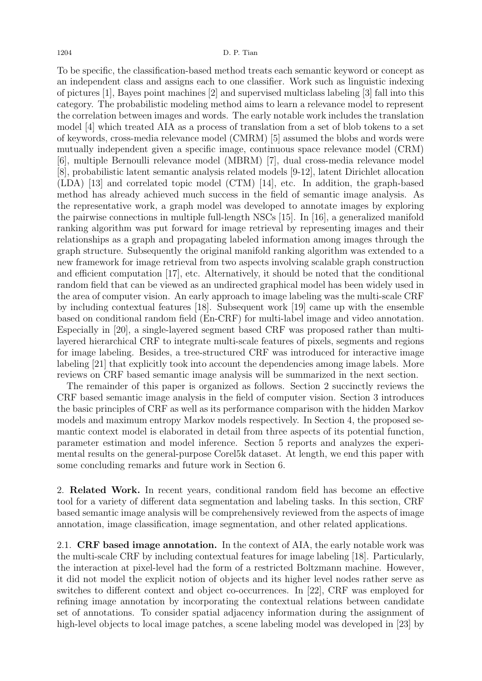#### 1204 D. P. Tian

To be specific, the classification-based method treats each semantic keyword or concept as an independent class and assigns each to one classifier. Work such as linguistic indexing of pictures [1], Bayes point machines [2] and supervised multiclass labeling [3] fall into this category. The probabilistic modeling method aims to learn a relevance model to represent the correlation between images and words. The early notable work includes the translation model [4] which treated AIA as a process of translation from a set of blob tokens to a set of keywords, cross-media relevance model (CMRM) [5] assumed the blobs and words were mutually independent given a specific image, continuous space relevance model (CRM) [6], multiple Bernoulli relevance model (MBRM) [7], dual cross-media relevance model [8], probabilistic latent semantic analysis related models [9-12], latent Dirichlet allocation (LDA) [13] and correlated topic model (CTM) [14], etc. In addition, the graph-based method has already achieved much success in the field of semantic image analysis. As the representative work, a graph model was developed to annotate images by exploring the pairwise connections in multiple full-length NSCs [15]. In [16], a generalized manifold ranking algorithm was put forward for image retrieval by representing images and their relationships as a graph and propagating labeled information among images through the graph structure. Subsequently the original manifold ranking algorithm was extended to a new framework for image retrieval from two aspects involving scalable graph construction and efficient computation [17], etc. Alternatively, it should be noted that the conditional random field that can be viewed as an undirected graphical model has been widely used in the area of computer vision. An early approach to image labeling was the multi-scale CRF by including contextual features [18]. Subsequent work [19] came up with the ensemble based on conditional random field (En-CRF) for multi-label image and video annotation. Especially in [20], a single-layered segment based CRF was proposed rather than multilayered hierarchical CRF to integrate multi-scale features of pixels, segments and regions for image labeling. Besides, a tree-structured CRF was introduced for interactive image labeling [21] that explicitly took into account the dependencies among image labels. More reviews on CRF based semantic image analysis will be summarized in the next section.

The remainder of this paper is organized as follows. Section 2 succinctly reviews the CRF based semantic image analysis in the field of computer vision. Section 3 introduces the basic principles of CRF as well as its performance comparison with the hidden Markov models and maximum entropy Markov models respectively. In Section 4, the proposed semantic context model is elaborated in detail from three aspects of its potential function, parameter estimation and model inference. Section 5 reports and analyzes the experimental results on the general-purpose Corel5k dataset. At length, we end this paper with some concluding remarks and future work in Section 6.

2. Related Work. In recent years, conditional random field has become an effective tool for a variety of different data segmentation and labeling tasks. In this section, CRF based semantic image analysis will be comprehensively reviewed from the aspects of image annotation, image classification, image segmentation, and other related applications.

2.1. CRF based image annotation. In the context of AIA, the early notable work was the multi-scale CRF by including contextual features for image labeling [18]. Particularly, the interaction at pixel-level had the form of a restricted Boltzmann machine. However, it did not model the explicit notion of objects and its higher level nodes rather serve as switches to different context and object co-occurrences. In [22], CRF was employed for refining image annotation by incorporating the contextual relations between candidate set of annotations. To consider spatial adjacency information during the assignment of high-level objects to local image patches, a scene labeling model was developed in [23] by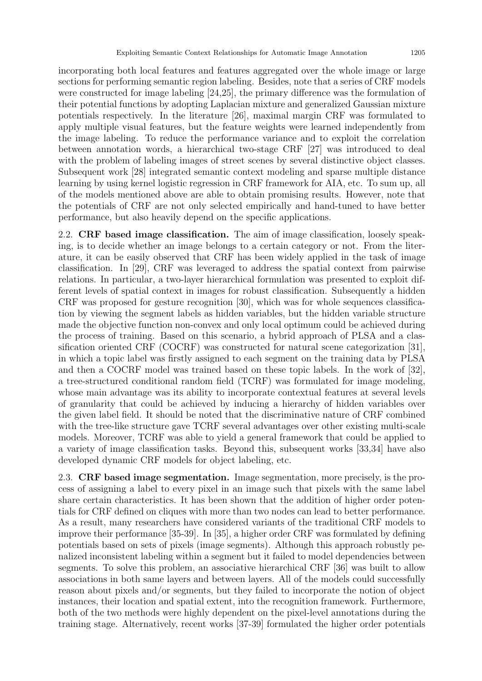incorporating both local features and features aggregated over the whole image or large sections for performing semantic region labeling. Besides, note that a series of CRF models were constructed for image labeling [24,25], the primary difference was the formulation of their potential functions by adopting Laplacian mixture and generalized Gaussian mixture potentials respectively. In the literature [26], maximal margin CRF was formulated to apply multiple visual features, but the feature weights were learned independently from the image labeling. To reduce the performance variance and to exploit the correlation between annotation words, a hierarchical two-stage CRF [27] was introduced to deal with the problem of labeling images of street scenes by several distinctive object classes. Subsequent work [28] integrated semantic context modeling and sparse multiple distance learning by using kernel logistic regression in CRF framework for AIA, etc. To sum up, all of the models mentioned above are able to obtain promising results. However, note that the potentials of CRF are not only selected empirically and hand-tuned to have better performance, but also heavily depend on the specific applications.

2.2. CRF based image classification. The aim of image classification, loosely speaking, is to decide whether an image belongs to a certain category or not. From the literature, it can be easily observed that CRF has been widely applied in the task of image classification. In [29], CRF was leveraged to address the spatial context from pairwise relations. In particular, a two-layer hierarchical formulation was presented to exploit different levels of spatial context in images for robust classification. Subsequently a hidden CRF was proposed for gesture recognition [30], which was for whole sequences classification by viewing the segment labels as hidden variables, but the hidden variable structure made the objective function non-convex and only local optimum could be achieved during the process of training. Based on this scenario, a hybrid approach of PLSA and a classification oriented CRF (COCRF) was constructed for natural scene categorization [31], in which a topic label was firstly assigned to each segment on the training data by PLSA and then a COCRF model was trained based on these topic labels. In the work of [32], a tree-structured conditional random field (TCRF) was formulated for image modeling, whose main advantage was its ability to incorporate contextual features at several levels of granularity that could be achieved by inducing a hierarchy of hidden variables over the given label field. It should be noted that the discriminative nature of CRF combined with the tree-like structure gave TCRF several advantages over other existing multi-scale models. Moreover, TCRF was able to yield a general framework that could be applied to a variety of image classification tasks. Beyond this, subsequent works [33,34] have also developed dynamic CRF models for object labeling, etc.

2.3. CRF based image segmentation. Image segmentation, more precisely, is the process of assigning a label to every pixel in an image such that pixels with the same label share certain characteristics. It has been shown that the addition of higher order potentials for CRF defined on cliques with more than two nodes can lead to better performance. As a result, many researchers have considered variants of the traditional CRF models to improve their performance [35-39]. In [35], a higher order CRF was formulated by defining potentials based on sets of pixels (image segments). Although this approach robustly penalized inconsistent labeling within a segment but it failed to model dependencies between segments. To solve this problem, an associative hierarchical CRF [36] was built to allow associations in both same layers and between layers. All of the models could successfully reason about pixels and/or segments, but they failed to incorporate the notion of object instances, their location and spatial extent, into the recognition framework. Furthermore, both of the two methods were highly dependent on the pixel-level annotations during the training stage. Alternatively, recent works [37-39] formulated the higher order potentials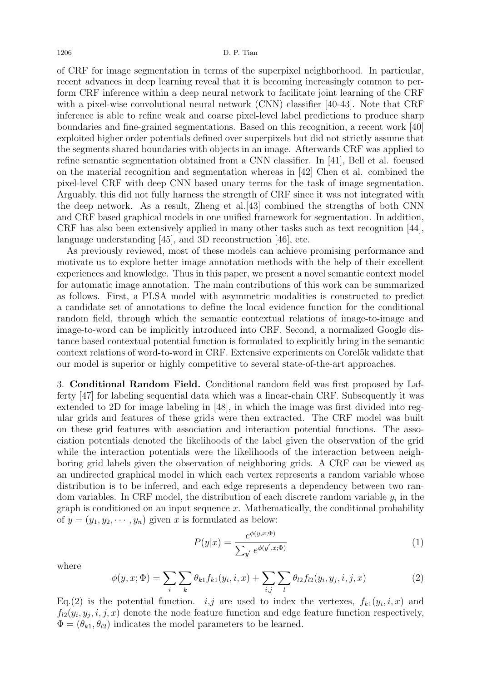of CRF for image segmentation in terms of the superpixel neighborhood. In particular, recent advances in deep learning reveal that it is becoming increasingly common to perform CRF inference within a deep neural network to facilitate joint learning of the CRF with a pixel-wise convolutional neural network (CNN) classifier [40-43]. Note that CRF inference is able to refine weak and coarse pixel-level label predictions to produce sharp boundaries and fine-grained segmentations. Based on this recognition, a recent work [40] exploited higher order potentials defined over superpixels but did not strictly assume that the segments shared boundaries with objects in an image. Afterwards CRF was applied to refine semantic segmentation obtained from a CNN classifier. In [41], Bell et al. focused on the material recognition and segmentation whereas in [42] Chen et al. combined the pixel-level CRF with deep CNN based unary terms for the task of image segmentation. Arguably, this did not fully harness the strength of CRF since it was not integrated with the deep network. As a result, Zheng et al.[43] combined the strengths of both CNN and CRF based graphical models in one unified framework for segmentation. In addition, CRF has also been extensively applied in many other tasks such as text recognition [44], language understanding [45], and 3D reconstruction [46], etc.

As previously reviewed, most of these models can achieve promising performance and motivate us to explore better image annotation methods with the help of their excellent experiences and knowledge. Thus in this paper, we present a novel semantic context model for automatic image annotation. The main contributions of this work can be summarized as follows. First, a PLSA model with asymmetric modalities is constructed to predict a candidate set of annotations to define the local evidence function for the conditional random field, through which the semantic contextual relations of image-to-image and image-to-word can be implicitly introduced into CRF. Second, a normalized Google distance based contextual potential function is formulated to explicitly bring in the semantic context relations of word-to-word in CRF. Extensive experiments on Corel5k validate that our model is superior or highly competitive to several state-of-the-art approaches.

3. Conditional Random Field. Conditional random field was first proposed by Lafferty [47] for labeling sequential data which was a linear-chain CRF. Subsequently it was extended to 2D for image labeling in [48], in which the image was first divided into regular grids and features of these grids were then extracted. The CRF model was built on these grid features with association and interaction potential functions. The association potentials denoted the likelihoods of the label given the observation of the grid while the interaction potentials were the likelihoods of the interaction between neighboring grid labels given the observation of neighboring grids. A CRF can be viewed as an undirected graphical model in which each vertex represents a random variable whose distribution is to be inferred, and each edge represents a dependency between two random variables. In CRF model, the distribution of each discrete random variable  $y_i$  in the graph is conditioned on an input sequence  $x$ . Mathematically, the conditional probability of  $y = (y_1, y_2, \dots, y_n)$  given x is formulated as below:

$$
P(y|x) = \frac{e^{\phi(y,x;\Phi)}}{\sum_{y'} e^{\phi(y',x;\Phi)}}
$$
(1)

where

$$
\phi(y, x; \Phi) = \sum_{i} \sum_{k} \theta_{k1} f_{k1}(y_i, i, x) + \sum_{i, j} \sum_{l} \theta_{l2} f_{l2}(y_i, y_j, i, j, x)
$$
(2)

Eq.(2) is the potential function. *i,j* are used to index the vertexes,  $f_{k1}(y_i, i, x)$  and  $f_{l2}(y_i, y_j, i, j, x)$  denote the node feature function and edge feature function respectively,  $\Phi = (\theta_{k1}, \theta_{l2})$  indicates the model parameters to be learned.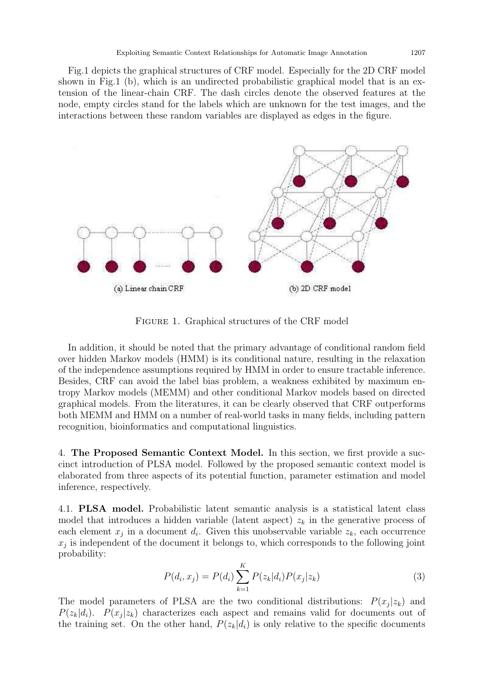Fig.1 depicts the graphical structures of CRF model. Especially for the 2D CRF model shown in Fig.1 (b), which is an undirected probabilistic graphical model that is an extension of the linear-chain CRF. The dash circles denote the observed features at the node, empty circles stand for the labels which are unknown for the test images, and the interactions between these random variables are displayed as edges in the figure.



FIGURE 1. Graphical structures of the CRF model

In addition, it should be noted that the primary advantage of conditional random field over hidden Markov models (HMM) is its conditional nature, resulting in the relaxation of the independence assumptions required by HMM in order to ensure tractable inference. Besides, CRF can avoid the label bias problem, a weakness exhibited by maximum entropy Markov models (MEMM) and other conditional Markov models based on directed graphical models. From the literatures, it can be clearly observed that CRF outperforms both MEMM and HMM on a number of real-world tasks in many fields, including pattern recognition, bioinformatics and computational linguistics.

4. The Proposed Semantic Context Model. In this section, we first provide a succinct introduction of PLSA model. Followed by the proposed semantic context model is elaborated from three aspects of its potential function, parameter estimation and model inference, respectively.

4.1. PLSA model. Probabilistic latent semantic analysis is a statistical latent class model that introduces a hidden variable (latent aspect)  $z_k$  in the generative process of each element  $x_j$  in a document  $d_i$ . Given this unobservable variable  $z_k$ , each occurrence  $x_j$  is independent of the document it belongs to, which corresponds to the following joint probability:

$$
P(d_i, x_j) = P(d_i) \sum_{k=1}^{K} P(z_k|d_i) P(x_j|z_k)
$$
\n(3)

The model parameters of PLSA are the two conditional distributions:  $P(x_j|z_k)$  and  $P(z_k|d_i)$ .  $P(x_j|z_k)$  characterizes each aspect and remains valid for documents out of the training set. On the other hand,  $P(z_k|d_i)$  is only relative to the specific documents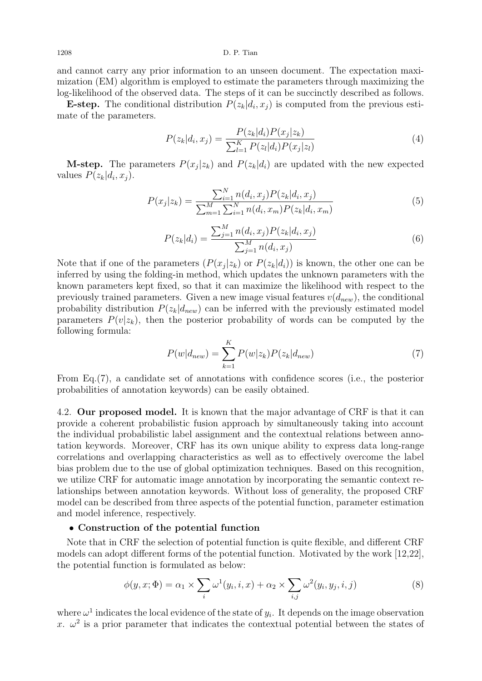1208 D. P. Tian

and cannot carry any prior information to an unseen document. The expectation maximization (EM) algorithm is employed to estimate the parameters through maximizing the log-likelihood of the observed data. The steps of it can be succinctly described as follows.

**E-step.** The conditional distribution  $P(z_k|d_i, x_j)$  is computed from the previous estimate of the parameters.

$$
P(z_k|d_i, x_j) = \frac{P(z_k|d_i)P(x_j|z_k)}{\sum_{l=1}^{K} P(z_l|d_i)P(x_j|z_l)}
$$
(4)

**M-step.** The parameters  $P(x_j|z_k)$  and  $P(z_k|d_i)$  are updated with the new expected values  $P(z_k|d_i, x_j)$ .

$$
P(x_j|z_k) = \frac{\sum_{i=1}^{N} n(d_i, x_j) P(z_k|d_i, x_j)}{\sum_{m=1}^{M} \sum_{i=1}^{N} n(d_i, x_m) P(z_k|d_i, x_m)}
$$
(5)

$$
P(z_k|d_i) = \frac{\sum_{j=1}^{M} n(d_i, x_j) P(z_k|d_i, x_j)}{\sum_{j=1}^{M} n(d_i, x_j)}
$$
(6)

Note that if one of the parameters  $(P(x_j|z_k)$  or  $P(z_k|d_i))$  is known, the other one can be inferred by using the folding-in method, which updates the unknown parameters with the known parameters kept fixed, so that it can maximize the likelihood with respect to the previously trained parameters. Given a new image visual features  $v(d_{new})$ , the conditional probability distribution  $P(z_k|d_{new})$  can be inferred with the previously estimated model parameters  $P(v|z_k)$ , then the posterior probability of words can be computed by the following formula:

$$
P(w|d_{new}) = \sum_{k=1}^{K} P(w|z_k) P(z_k|d_{new})
$$
\n(7)

From Eq.(7), a candidate set of annotations with confidence scores (i.e., the posterior probabilities of annotation keywords) can be easily obtained.

4.2. Our proposed model. It is known that the major advantage of CRF is that it can provide a coherent probabilistic fusion approach by simultaneously taking into account the individual probabilistic label assignment and the contextual relations between annotation keywords. Moreover, CRF has its own unique ability to express data long-range correlations and overlapping characteristics as well as to effectively overcome the label bias problem due to the use of global optimization techniques. Based on this recognition, we utilize CRF for automatic image annotation by incorporating the semantic context relationships between annotation keywords. Without loss of generality, the proposed CRF model can be described from three aspects of the potential function, parameter estimation and model inference, respectively.

### • Construction of the potential function

Note that in CRF the selection of potential function is quite flexible, and different CRF models can adopt different forms of the potential function. Motivated by the work [12,22], the potential function is formulated as below:

$$
\phi(y, x; \Phi) = \alpha_1 \times \sum_i \omega^1(y_i, i, x) + \alpha_2 \times \sum_{i,j} \omega^2(y_i, y_j, i, j)
$$
\n(8)

where  $\omega^1$  indicates the local evidence of the state of  $y_i$ . It depends on the image observation x.  $\omega^2$  is a prior parameter that indicates the contextual potential between the states of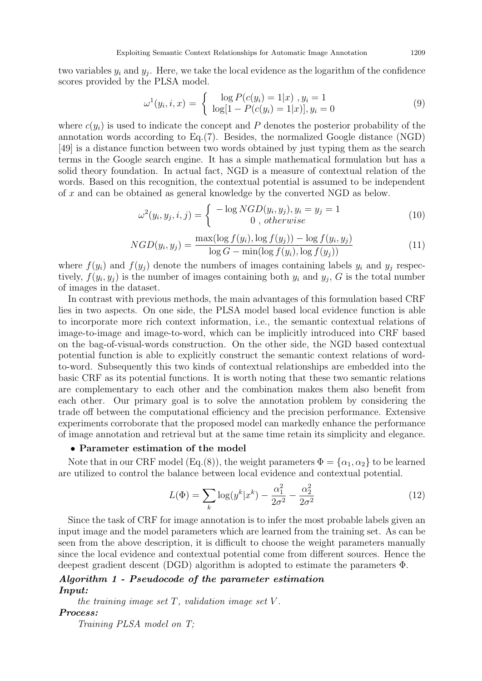two variables  $y_i$  and  $y_j$ . Here, we take the local evidence as the logarithm of the confidence scores provided by the PLSA model.

$$
\omega^{1}(y_{i}, i, x) = \begin{cases} \log P(c(y_{i}) = 1|x) , y_{i} = 1 \\ \log[1 - P(c(y_{i}) = 1|x)] , y_{i} = 0 \end{cases}
$$
(9)

where  $c(y_i)$  is used to indicate the concept and P denotes the posterior probability of the annotation words according to Eq.(7). Besides, the normalized Google distance (NGD) [49] is a distance function between two words obtained by just typing them as the search terms in the Google search engine. It has a simple mathematical formulation but has a solid theory foundation. In actual fact, NGD is a measure of contextual relation of the words. Based on this recognition, the contextual potential is assumed to be independent of x and can be obtained as general knowledge by the converted NGD as below.

$$
\omega^2(y_i, y_j, i, j) = \begin{cases}\n-\log NGD(y_i, y_j), y_i = y_j = 1 \\
0, \text{ otherwise}\n\end{cases} \tag{10}
$$

$$
NGD(y_i, y_j) = \frac{\max(\log f(y_i), \log f(y_j)) - \log f(y_i, y_j)}{\log G - \min(\log f(y_i), \log f(y_j))}
$$
(11)

where  $f(y_i)$  and  $f(y_j)$  denote the numbers of images containing labels  $y_i$  and  $y_j$  respectively,  $f(y_i, y_j)$  is the number of images containing both  $y_i$  and  $y_j$ , G is the total number of images in the dataset.

In contrast with previous methods, the main advantages of this formulation based CRF lies in two aspects. On one side, the PLSA model based local evidence function is able to incorporate more rich context information, i.e., the semantic contextual relations of image-to-image and image-to-word, which can be implicitly introduced into CRF based on the bag-of-visual-words construction. On the other side, the NGD based contextual potential function is able to explicitly construct the semantic context relations of wordto-word. Subsequently this two kinds of contextual relationships are embedded into the basic CRF as its potential functions. It is worth noting that these two semantic relations are complementary to each other and the combination makes them also benefit from each other. Our primary goal is to solve the annotation problem by considering the trade off between the computational efficiency and the precision performance. Extensive experiments corroborate that the proposed model can markedly enhance the performance of image annotation and retrieval but at the same time retain its simplicity and elegance.

#### • Parameter estimation of the model

Note that in our CRF model (Eq.(8)), the weight parameters  $\Phi = {\alpha_1, \alpha_2}$  to be learned are utilized to control the balance between local evidence and contextual potential.

$$
L(\Phi) = \sum_{k} \log(y^{k} | x^{k}) - \frac{\alpha_{1}^{2}}{2\sigma^{2}} - \frac{\alpha_{2}^{2}}{2\sigma^{2}}
$$
 (12)

Since the task of CRF for image annotation is to infer the most probable labels given an input image and the model parameters which are learned from the training set. As can be seen from the above description, it is difficult to choose the weight parameters manually since the local evidence and contextual potential come from different sources. Hence the deepest gradient descent (DGD) algorithm is adopted to estimate the parameters Φ.

### Algorithm 1 - Pseudocode of the parameter estimation Input:

the training image set  $T$ , validation image set  $V$ . Process:

Training PLSA model on T;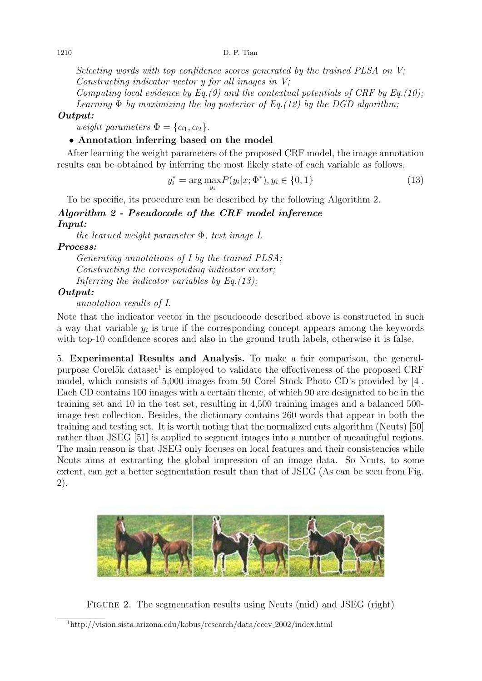Selecting words with top confidence scores generated by the trained PLSA on V; Constructing indicator vector y for all images in V;

Computing local evidence by Eq.(9) and the contextual potentials of CRF by Eq.(10); Learning  $\Phi$  by maximizing the log posterior of Eq.(12) by the DGD algorithm;

## Output:

weight parameters  $\Phi = {\alpha_1, \alpha_2}.$ 

## • Annotation inferring based on the model

After learning the weight parameters of the proposed CRF model, the image annotation results can be obtained by inferring the most likely state of each variable as follows.

$$
y_i^* = \arg \max_{y_i} P(y_i | x; \Phi^*), y_i \in \{0, 1\}
$$
\n(13)

To be specific, its procedure can be described by the following Algorithm 2.

# Algorithm 2 - Pseudocode of the CRF model inference Input:

the learned weight parameter  $\Phi$ , test image I.

Process:

Generating annotations of I by the trained PLSA; Constructing the corresponding indicator vector; Inferring the indicator variables by Eq.  $(13)$ ;

## Output:

annotation results of I.

Note that the indicator vector in the pseudocode described above is constructed in such a way that variable  $y_i$  is true if the corresponding concept appears among the keywords with top-10 confidence scores and also in the ground truth labels, otherwise it is false.

5. Experimental Results and Analysis. To make a fair comparison, the generalpurpose Corel5k dataset<sup>1</sup> is employed to validate the effectiveness of the proposed CRF model, which consists of 5,000 images from 50 Corel Stock Photo CD's provided by [4]. Each CD contains 100 images with a certain theme, of which 90 are designated to be in the training set and 10 in the test set, resulting in 4,500 training images and a balanced 500 image test collection. Besides, the dictionary contains 260 words that appear in both the training and testing set. It is worth noting that the normalized cuts algorithm (Ncuts) [50] rather than JSEG [51] is applied to segment images into a number of meaningful regions. The main reason is that JSEG only focuses on local features and their consistencies while Ncuts aims at extracting the global impression of an image data. So Ncuts, to some extent, can get a better segmentation result than that of JSEG (As can be seen from Fig. 2).



Figure 2. The segmentation results using Ncuts (mid) and JSEG (right)

<sup>1</sup>http://vision.sista.arizona.edu/kobus/research/data/eccv 2002/index.html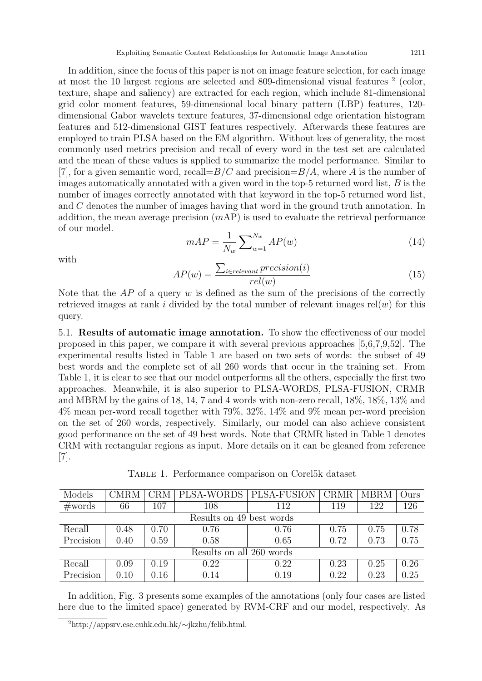In addition, since the focus of this paper is not on image feature selection, for each image at most the 10 largest regions are selected and 809-dimensional visual features <sup>2</sup> (color, texture, shape and saliency) are extracted for each region, which include 81-dimensional grid color moment features, 59-dimensional local binary pattern (LBP) features, 120 dimensional Gabor wavelets texture features, 37-dimensional edge orientation histogram features and 512-dimensional GIST features respectively. Afterwards these features are employed to train PLSA based on the EM algorithm. Without loss of generality, the most commonly used metrics precision and recall of every word in the test set are calculated and the mean of these values is applied to summarize the model performance. Similar to [7], for a given semantic word, recall= $B/C$  and precision= $B/A$ , where A is the number of images automatically annotated with a given word in the top-5 returned word list, B is the number of images correctly annotated with that keyword in the top-5 returned word list, and C denotes the number of images having that word in the ground truth annotation. In addition, the mean average precision  $(mAP)$  is used to evaluate the retrieval performance of our model.

$$
mAP = \frac{1}{N_w} \sum_{w=1}^{N_w} AP(w)
$$
\n(14)

with

$$
AP(w) = \frac{\sum_{i \in relevant} precision(i)}{rel(w)} \tag{15}
$$

Note that the  $AP$  of a query w is defined as the sum of the precisions of the correctly retrieved images at rank i divided by the total number of relevant images  $rel(w)$  for this query.

5.1. Results of automatic image annotation. To show the effectiveness of our model proposed in this paper, we compare it with several previous approaches [5,6,7,9,52]. The experimental results listed in Table 1 are based on two sets of words: the subset of 49 best words and the complete set of all 260 words that occur in the training set. From Table 1, it is clear to see that our model outperforms all the others, especially the first two approaches. Meanwhile, it is also superior to PLSA-WORDS, PLSA-FUSION, CRMR and MBRM by the gains of 18, 14, 7 and 4 words with non-zero recall, 18%, 18%, 13% and 4% mean per-word recall together with 79%, 32%, 14% and 9% mean per-word precision on the set of 260 words, respectively. Similarly, our model can also achieve consistent good performance on the set of 49 best words. Note that CRMR listed in Table 1 denotes CRM with rectangular regions as input. More details on it can be gleaned from reference [7].

Table 1. Performance comparison on Corel5k dataset

| Models                   | CMRM | CRM  | PLSA-WORDS | PLSA-FUSION | CRMR | <b>MBRM</b> | Ours |  |  |
|--------------------------|------|------|------------|-------------|------|-------------|------|--|--|
| #words                   | 66   | 107  | 108        | 112         | 119  | 122         | 126  |  |  |
| Results on 49 best words |      |      |            |             |      |             |      |  |  |
| Recall                   | 0.48 | 0.70 | 0.76       | 0.76        | 0.75 | 0.75        | 0.78 |  |  |
| Precision                | 0.40 | 0.59 | 0.58       | 0.65        | 0.72 | 0.73        | 0.75 |  |  |
| Results on all 260 words |      |      |            |             |      |             |      |  |  |
| Recall                   | 0.09 | 0.19 | 0.22       | 0.22        | 0.23 | 0.25        | 0.26 |  |  |
| Precision                | 0.10 | 0.16 | 0.14       | 0.19        | 0.22 | 0.23        | 0.25 |  |  |

In addition, Fig. 3 presents some examples of the annotations (only four cases are listed here due to the limited space) generated by RVM-CRF and our model, respectively. As

<sup>2</sup>http://appsrv.cse.cuhk.edu.hk/∼jkzhu/felib.html.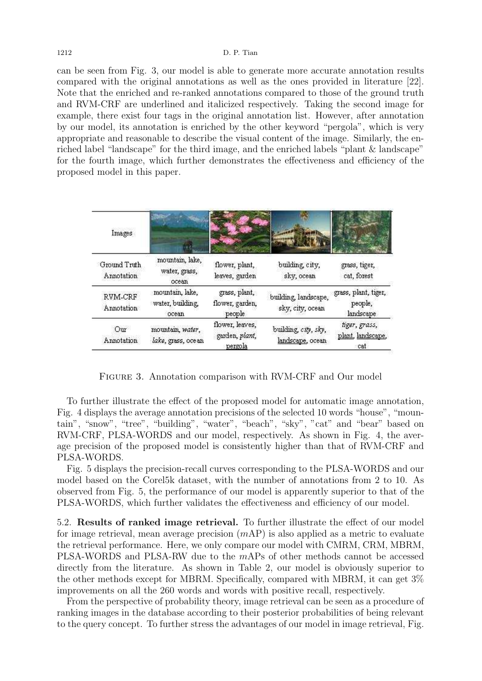can be seen from Fig. 3, our model is able to generate more accurate annotation results compared with the original annotations as well as the ones provided in literature [22]. Note that the enriched and re-ranked annotations compared to those of the ground truth and RVM-CRF are underlined and italicized respectively. Taking the second image for example, there exist four tags in the original annotation list. However, after annotation by our model, its annotation is enriched by the other keyword "pergola", which is very appropriate and reasonable to describe the visual content of the image. Similarly, the enriched label "landscape" for the third image, and the enriched labels "plant & landscape" for the fourth image, which further demonstrates the effectiveness and efficiency of the proposed model in this paper.

| Images                     |                                              |                                              |                                          |                                              |
|----------------------------|----------------------------------------------|----------------------------------------------|------------------------------------------|----------------------------------------------|
| Ground Truth<br>Annotation | mountain, lake,<br>water, grass,<br>ocean    | flower, plant,<br>leaves, garden             | building, city,<br>sky, ocean            | grass, tiger,<br>cat, forest                 |
| RVM-CRF<br>Annotation      | mountain, lake,<br>water, building,<br>ocean | grass, plant,<br>flower, garden,<br>people   | building, landscape,<br>sky, city, ocean | grass, plant, tiger,<br>people,<br>landscape |
| Our<br>Annotation          | mountain, water,<br>lake, grass, ocean       | flower, leaves,<br>garden, plant,<br>pergola | building, city, sky,<br>landscape, ocean | tiger, grass,<br>plant, landscape,<br>cat    |

Figure 3. Annotation comparison with RVM-CRF and Our model

To further illustrate the effect of the proposed model for automatic image annotation, Fig. 4 displays the average annotation precisions of the selected 10 words "house", "mountain", "snow", "tree", "building", "water", "beach", "sky", "cat" and "bear" based on RVM-CRF, PLSA-WORDS and our model, respectively. As shown in Fig. 4, the average precision of the proposed model is consistently higher than that of RVM-CRF and PLSA-WORDS.

Fig. 5 displays the precision-recall curves corresponding to the PLSA-WORDS and our model based on the Corel5k dataset, with the number of annotations from 2 to 10. As observed from Fig. 5, the performance of our model is apparently superior to that of the PLSA-WORDS, which further validates the effectiveness and efficiency of our model.

5.2. Results of ranked image retrieval. To further illustrate the effect of our model for image retrieval, mean average precision (mAP) is also applied as a metric to evaluate the retrieval performance. Here, we only compare our model with CMRM, CRM, MBRM, PLSA-WORDS and PLSA-RW due to the mAPs of other methods cannot be accessed directly from the literature. As shown in Table 2, our model is obviously superior to the other methods except for MBRM. Specifically, compared with MBRM, it can get 3% improvements on all the 260 words and words with positive recall, respectively.

From the perspective of probability theory, image retrieval can be seen as a procedure of ranking images in the database according to their posterior probabilities of being relevant to the query concept. To further stress the advantages of our model in image retrieval, Fig.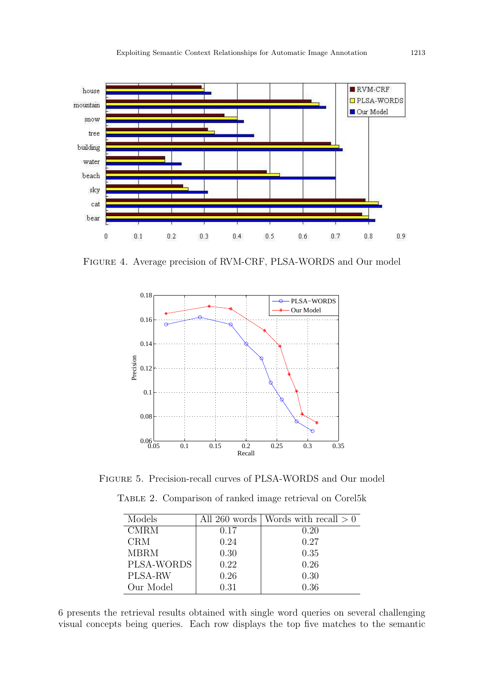

Figure 4. Average precision of RVM-CRF, PLSA-WORDS and Our model



Figure 5. Precision-recall curves of PLSA-WORDS and Our model

Table 2. Comparison of ranked image retrieval on Corel5k

| Models      |      | All 260 words   Words with recall $> 0$ |
|-------------|------|-----------------------------------------|
| <b>CMRM</b> | 0.17 | 0.20                                    |
| <b>CRM</b>  | 0.24 | 0.27                                    |
| <b>MBRM</b> | 0.30 | 0.35                                    |
| PLSA-WORDS  | 0.22 | 0.26                                    |
| PLSA-RW     | 0.26 | 0.30                                    |
| Our Model   | 0.31 | 0.36                                    |

6 presents the retrieval results obtained with single word queries on several challenging visual concepts being queries. Each row displays the top five matches to the semantic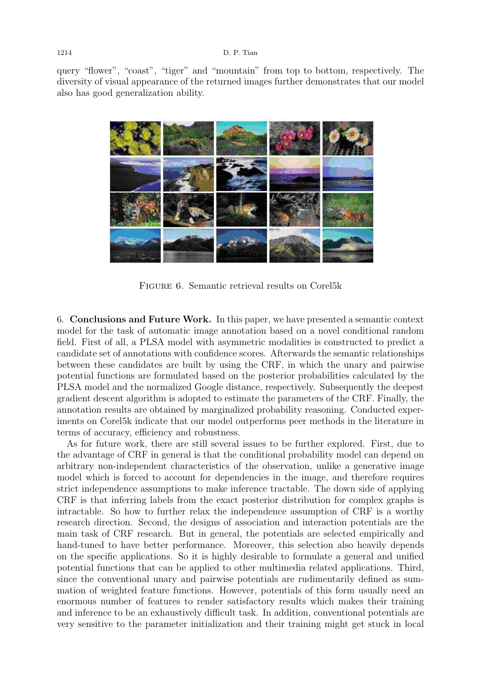query "flower", "coast", "tiger" and "mountain" from top to bottom, respectively. The diversity of visual appearance of the returned images further demonstrates that our model also has good generalization ability.



Figure 6. Semantic retrieval results on Corel5k

6. Conclusions and Future Work. In this paper, we have presented a semantic context model for the task of automatic image annotation based on a novel conditional random field. First of all, a PLSA model with asymmetric modalities is constructed to predict a candidate set of annotations with confidence scores. Afterwards the semantic relationships between these candidates are built by using the CRF, in which the unary and pairwise potential functions are formulated based on the posterior probabilities calculated by the PLSA model and the normalized Google distance, respectively. Subsequently the deepest gradient descent algorithm is adopted to estimate the parameters of the CRF. Finally, the annotation results are obtained by marginalized probability reasoning. Conducted experiments on Corel5k indicate that our model outperforms peer methods in the literature in terms of accuracy, efficiency and robustness.

As for future work, there are still several issues to be further explored. First, due to the advantage of CRF in general is that the conditional probability model can depend on arbitrary non-independent characteristics of the observation, unlike a generative image model which is forced to account for dependencies in the image, and therefore requires strict independence assumptions to make inference tractable. The down side of applying CRF is that inferring labels from the exact posterior distribution for complex graphs is intractable. So how to further relax the independence assumption of CRF is a worthy research direction. Second, the designs of association and interaction potentials are the main task of CRF research. But in general, the potentials are selected empirically and hand-tuned to have better performance. Moreover, this selection also heavily depends on the specific applications. So it is highly desirable to formulate a general and unified potential functions that can be applied to other multimedia related applications. Third, since the conventional unary and pairwise potentials are rudimentarily defined as summation of weighted feature functions. However, potentials of this form usually need an enormous number of features to render satisfactory results which makes their training and inference to be an exhaustively difficult task. In addition, conventional potentials are very sensitive to the parameter initialization and their training might get stuck in local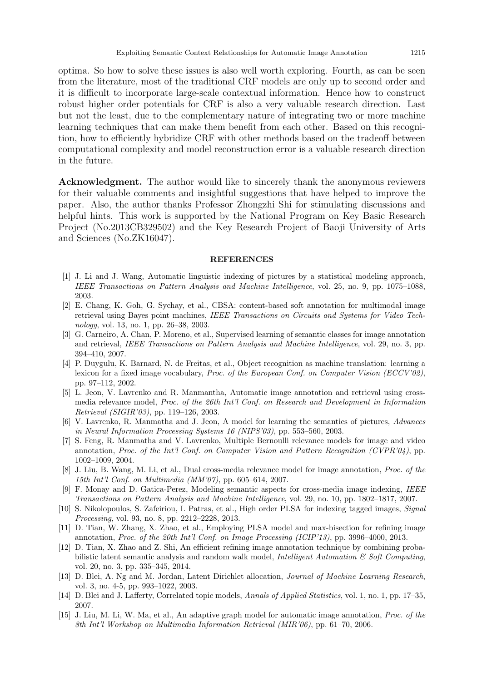optima. So how to solve these issues is also well worth exploring. Fourth, as can be seen from the literature, most of the traditional CRF models are only up to second order and it is difficult to incorporate large-scale contextual information. Hence how to construct robust higher order potentials for CRF is also a very valuable research direction. Last but not the least, due to the complementary nature of integrating two or more machine learning techniques that can make them benefit from each other. Based on this recognition, how to efficiently hybridize CRF with other methods based on the tradeoff between computational complexity and model reconstruction error is a valuable research direction in the future.

Acknowledgment. The author would like to sincerely thank the anonymous reviewers for their valuable comments and insightful suggestions that have helped to improve the paper. Also, the author thanks Professor Zhongzhi Shi for stimulating discussions and helpful hints. This work is supported by the National Program on Key Basic Research Project (No.2013CB329502) and the Key Research Project of Baoji University of Arts and Sciences (No.ZK16047).

#### REFERENCES

- [1] J. Li and J. Wang, Automatic linguistic indexing of pictures by a statistical modeling approach, IEEE Transactions on Pattern Analysis and Machine Intelligence, vol. 25, no. 9, pp. 1075–1088, 2003.
- [2] E. Chang, K. Goh, G. Sychay, et al., CBSA: content-based soft annotation for multimodal image retrieval using Bayes point machines, IEEE Transactions on Circuits and Systems for Video Technology, vol. 13, no. 1, pp. 26–38, 2003.
- [3] G. Carneiro, A. Chan, P. Moreno, et al., Supervised learning of semantic classes for image annotation and retrieval, IEEE Transactions on Pattern Analysis and Machine Intelligence, vol. 29, no. 3, pp. 394–410, 2007.
- [4] P. Duygulu, K. Barnard, N. de Freitas, et al., Object recognition as machine translation: learning a lexicon for a fixed image vocabulary, Proc. of the European Conf. on Computer Vision (ECCV'02), pp. 97–112, 2002.
- [5] L. Jeon, V. Lavrenko and R. Manmantha, Automatic image annotation and retrieval using crossmedia relevance model, Proc. of the 26th Int'l Conf. on Research and Development in Information Retrieval (SIGIR'03), pp. 119–126, 2003.
- [6] V. Lavrenko, R. Manmatha and J. Jeon, A model for learning the semantics of pictures, Advances in Neural Information Processing Systems 16 (NIPS'03), pp. 553–560, 2003.
- [7] S. Feng, R. Manmatha and V. Lavrenko, Multiple Bernoulli relevance models for image and video annotation, Proc. of the Int'l Conf. on Computer Vision and Pattern Recognition (CVPR'04), pp. 1002–1009, 2004.
- [8] J. Liu, B. Wang, M. Li, et al., Dual cross-media relevance model for image annotation, Proc. of the 15th Int'l Conf. on Multimedia (MM'07), pp. 605–614, 2007.
- [9] F. Monay and D. Gatica-Perez, Modeling semantic aspects for cross-media image indexing, IEEE Transactions on Pattern Analysis and Machine Intelligence, vol. 29, no. 10, pp. 1802–1817, 2007.
- [10] S. Nikolopoulos, S. Zafeiriou, I. Patras, et al., High order PLSA for indexing tagged images, Signal Processing, vol. 93, no. 8, pp. 2212–2228, 2013.
- [11] D. Tian, W. Zhang, X. Zhao, et al., Employing PLSA model and max-bisection for refining image annotation, Proc. of the 20th Int'l Conf. on Image Processing (ICIP'13), pp. 3996–4000, 2013.
- [12] D. Tian, X. Zhao and Z. Shi, An efficient refining image annotation technique by combining probabilistic latent semantic analysis and random walk model, Intelligent Automation  $\mathcal{C}'$  Soft Computing, vol. 20, no. 3, pp. 335–345, 2014.
- [13] D. Blei, A. Ng and M. Jordan, Latent Dirichlet allocation, Journal of Machine Learning Research, vol. 3, no. 4-5, pp. 993–1022, 2003.
- [14] D. Blei and J. Lafferty, Correlated topic models, Annals of Applied Statistics, vol. 1, no. 1, pp. 17–35, 2007.
- [15] J. Liu, M. Li, W. Ma, et al., An adaptive graph model for automatic image annotation, Proc. of the 8th Int'l Workshop on Multimedia Information Retrieval (MIR'06), pp. 61–70, 2006.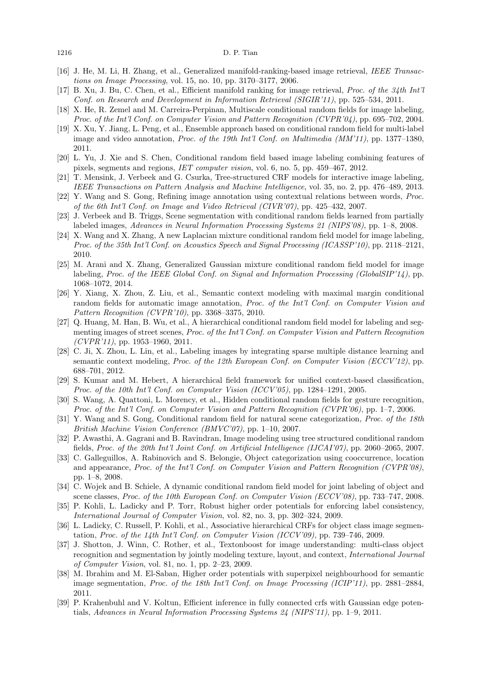#### 1216 D. P. Tian

- [16] J. He, M. Li, H. Zhang, et al., Generalized manifold-ranking-based image retrieval, IEEE Transactions on Image Processing, vol. 15, no. 10, pp. 3170–3177, 2006.
- [17] B. Xu, J. Bu, C. Chen, et al., Efficient manifold ranking for image retrieval, Proc. of the 34th Int'l Conf. on Research and Development in Information Retrieval (SIGIR'11), pp. 525–534, 2011.
- [18] X. He, R. Zemel and M. Carreira-Perpinan, Multiscale conditional random fields for image labeling, Proc. of the Int'l Conf. on Computer Vision and Pattern Recognition (CVPR'04), pp. 695–702, 2004.
- [19] X. Xu, Y. Jiang, L. Peng, et al., Ensemble approach based on conditional random field for multi-label image and video annotation, *Proc. of the 19th Int'l Conf. on Multimedia (MM'11)*, pp. 1377–1380, 2011.
- [20] L. Yu, J. Xie and S. Chen, Conditional random field based image labeling combining features of pixels, segments and regions, IET computer vision, vol. 6, no. 5, pp. 459–467, 2012.
- [21] T. Mensink, J. Verbeek and G. Csurka, Tree-structured CRF models for interactive image labeling, IEEE Transactions on Pattern Analysis and Machine Intelligence, vol. 35, no. 2, pp. 476–489, 2013.
- [22] Y. Wang and S. Gong, Refining image annotation using contextual relations between words, Proc. of the 6th Int'l Conf. on Image and Video Retrieval (CIVR'07), pp. 425–432, 2007.
- [23] J. Verbeek and B. Triggs, Scene segmentation with conditional random fields learned from partially labeled images, Advances in Neural Information Processing Systems 21 (NIPS'08), pp. 1–8, 2008.
- [24] X. Wang and X. Zhang, A new Laplacian mixture conditional random field model for image labeling, Proc. of the 35th Int'l Conf. on Acoustics Speech and Signal Processing (ICASSP'10), pp. 2118–2121, 2010.
- [25] M. Arani and X. Zhang, Generalized Gaussian mixture conditional random field model for image labeling, Proc. of the IEEE Global Conf. on Signal and Information Processing (GlobalSIP'14), pp. 1068–1072, 2014.
- [26] Y. Xiang, X. Zhou, Z. Liu, et al., Semantic context modeling with maximal margin conditional random fields for automatic image annotation, *Proc. of the Int'l Conf. on Computer Vision and* Pattern Recognition (CVPR'10), pp. 3368–3375, 2010.
- [27] Q. Huang, M. Han, B. Wu, et al., A hierarchical conditional random field model for labeling and segmenting images of street scenes, Proc. of the Int'l Conf. on Computer Vision and Pattern Recognition  $(CVPR'11)$ , pp. 1953–1960, 2011.
- [28] C. Ji, X. Zhou, L. Lin, et al., Labeling images by integrating sparse multiple distance learning and semantic context modeling, Proc. of the 12th European Conf. on Computer Vision (ECCV'12), pp. 688–701, 2012.
- [29] S. Kumar and M. Hebert, A hierarchical field framework for unified context-based classification, Proc. of the 10th Int'l Conf. on Computer Vision (ICCV'05), pp. 1284–1291, 2005.
- [30] S. Wang, A. Quattoni, L. Morency, et al., Hidden conditional random fields for gesture recognition, Proc. of the Int'l Conf. on Computer Vision and Pattern Recognition (CVPR'06), pp. 1–7, 2006.
- [31] Y. Wang and S. Gong, Conditional random field for natural scene categorization, Proc. of the 18th British Machine Vision Conference (BMVC'07), pp. 1–10, 2007.
- [32] P. Awasthi, A. Gagrani and B. Ravindran, Image modeling using tree structured conditional random fields, Proc. of the 20th Int'l Joint Conf. on Artificial Intelligence (IJCAI'07), pp. 2060–2065, 2007.
- [33] C. Galleguillos, A. Rabinovich and S. Belongie, Object categorization using cooccurrence, location and appearance, Proc. of the Int'l Conf. on Computer Vision and Pattern Recognition (CVPR'08), pp. 1–8, 2008.
- [34] C. Wojek and B. Schiele, A dynamic conditional random field model for joint labeling of object and scene classes, Proc. of the 10th European Conf. on Computer Vision (ECCV'08), pp. 733–747, 2008.
- [35] P. Kohli, L. Ladicky and P. Torr, Robust higher order potentials for enforcing label consistency, International Journal of Computer Vision, vol. 82, no. 3, pp. 302–324, 2009.
- [36] L. Ladicky, C. Russell, P. Kohli, et al., Associative hierarchical CRFs for object class image segmentation, Proc. of the 14th Int'l Conf. on Computer Vision (ICCV'09), pp. 739–746, 2009.
- [37] J. Shotton, J. Winn, C. Rother, et al., Textonboost for image understanding: multi-class object recognition and segmentation by jointly modeling texture, layout, and context, International Journal of Computer Vision, vol. 81, no. 1, pp. 2–23, 2009.
- [38] M. Ibrahim and M. El-Saban, Higher order potentials with superpixel neighbourhood for semantic image segmentation, Proc. of the 18th Int'l Conf. on Image Processing (ICIP'11), pp. 2881–2884, 2011.
- [39] P. Krahenbuhl and V. Koltun, Efficient inference in fully connected crfs with Gaussian edge potentials, Advances in Neural Information Processing Systems 24 (NIPS'11), pp. 1–9, 2011.